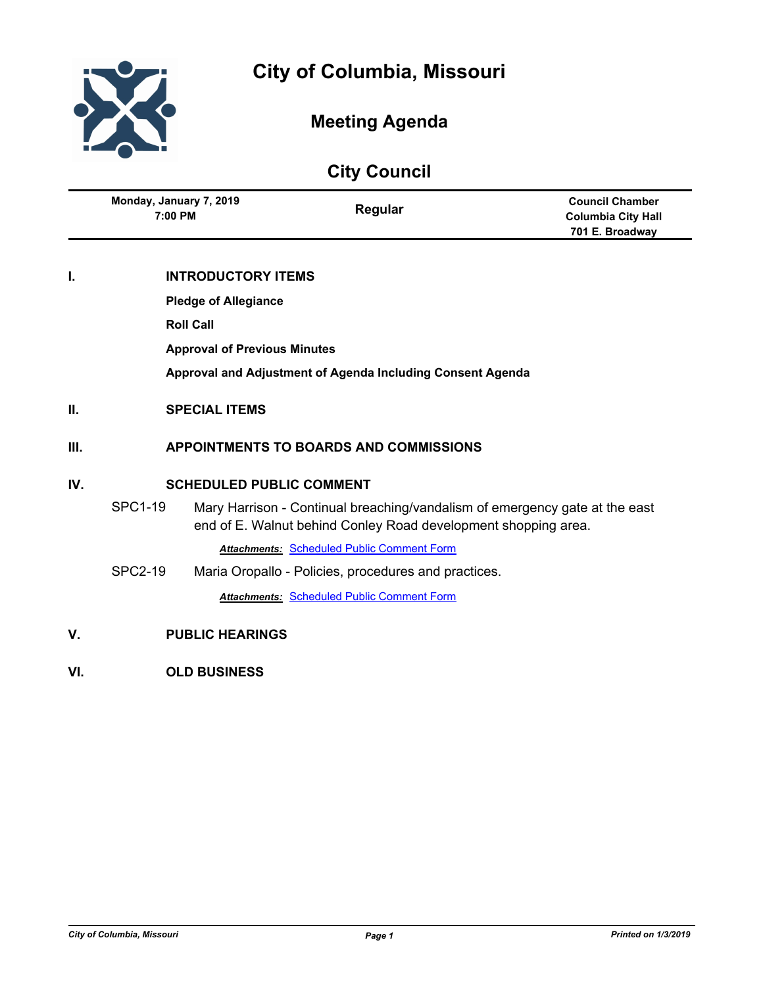

# **Meeting Agenda**

# **City Council**

|    | Monday, January 7, 2019<br>7:00 PM  | Regular                                                    | <b>Council Chamber</b><br><b>Columbia City Hall</b><br>701 E. Broadway |
|----|-------------------------------------|------------------------------------------------------------|------------------------------------------------------------------------|
| I. | <b>INTRODUCTORY ITEMS</b>           |                                                            |                                                                        |
|    | <b>Pledge of Allegiance</b>         |                                                            |                                                                        |
|    | <b>Roll Call</b>                    |                                                            |                                                                        |
|    | <b>Approval of Previous Minutes</b> |                                                            |                                                                        |
|    |                                     | Approval and Adjustment of Agenda Including Consent Agenda |                                                                        |
| П. | <b>SPECIAL ITEMS</b>                |                                                            |                                                                        |

# **III. APPOINTMENTS TO BOARDS AND COMMISSIONS**

# **IV. SCHEDULED PUBLIC COMMENT**

SPC1-19 Mary Harrison - Continual breaching/vandalism of emergency gate at the east end of E. Walnut behind Conley Road development shopping area.

*Attachments:* [Scheduled Public Comment Form](http://gocolumbiamo.legistar.com/gateway.aspx?M=F&ID=32f40c67-f953-4504-ac39-06948dfcbe0c.pdf)

- SPC2-19 Maria Oropallo Policies, procedures and practices. *Attachments:* [Scheduled Public Comment Form](http://gocolumbiamo.legistar.com/gateway.aspx?M=F&ID=fbc08670-8e43-41fa-849f-3c070c38c513.pdf)
- **V. PUBLIC HEARINGS**
- **VI. OLD BUSINESS**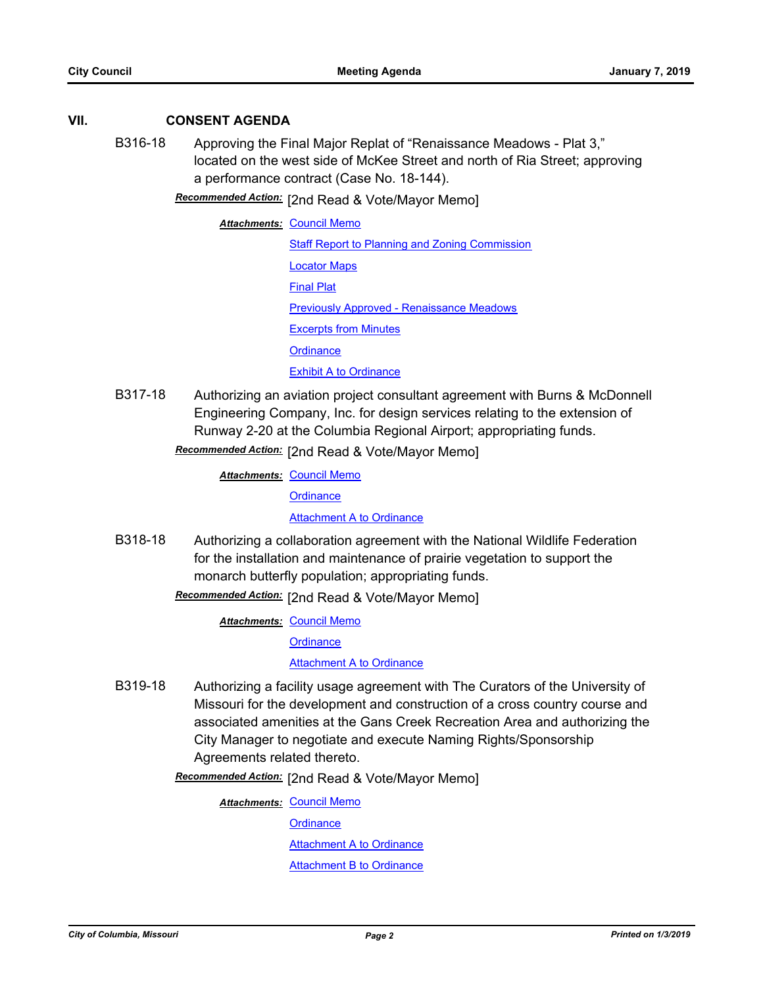#### **VII. CONSENT AGENDA**

B316-18 Approving the Final Major Replat of "Renaissance Meadows - Plat 3," located on the west side of McKee Street and north of Ria Street; approving a performance contract (Case No. 18-144).

[2nd Read & Vote/Mayor Memo] *Recommended Action:*

**Attachments: [Council Memo](http://gocolumbiamo.legistar.com/gateway.aspx?M=F&ID=ae5c235b-4c78-4ab7-bc67-159846f39dcd.docx)** [Staff Report to Planning and Zoning Commission](http://gocolumbiamo.legistar.com/gateway.aspx?M=F&ID=603789ad-9e46-44b9-9e5c-904d6bd3cc9d.docx) [Locator Maps](http://gocolumbiamo.legistar.com/gateway.aspx?M=F&ID=c2022cf8-72c1-49dc-9179-839c8ce3fefa.pdf) [Final Plat](http://gocolumbiamo.legistar.com/gateway.aspx?M=F&ID=92bef3a7-7b5b-479b-b091-1cec329373c3.pdf) [Previously Approved - Renaissance Meadows](http://gocolumbiamo.legistar.com/gateway.aspx?M=F&ID=83c9ee1f-b455-4d7c-b56f-fb768b729ef2.pdf) [Excerpts from Minutes](http://gocolumbiamo.legistar.com/gateway.aspx?M=F&ID=c332bb8b-2d26-4d16-ab0b-aa8f25c790cc.docx) **[Ordinance](http://gocolumbiamo.legistar.com/gateway.aspx?M=F&ID=78887bfe-73bf-4691-b2fd-0d8ac9c7a085.doc)** [Exhibit A to Ordinance](http://gocolumbiamo.legistar.com/gateway.aspx?M=F&ID=2257f681-f28e-4600-b1d3-404306954727.pdf)

B317-18 Authorizing an aviation project consultant agreement with Burns & McDonnell Engineering Company, Inc. for design services relating to the extension of Runway 2-20 at the Columbia Regional Airport; appropriating funds.

Recommended Action: [2nd Read & Vote/Mayor Memo]

**Attachments: [Council Memo](http://gocolumbiamo.legistar.com/gateway.aspx?M=F&ID=4a0db11b-86a6-41e1-8680-476120f28c69.docx)** 

**[Ordinance](http://gocolumbiamo.legistar.com/gateway.aspx?M=F&ID=f218cc4a-65c8-4382-87c1-077a67ad87af.doc)** 

**[Attachment A to Ordinance](http://gocolumbiamo.legistar.com/gateway.aspx?M=F&ID=33560845-fbde-4ca1-b7a8-3eea3ba30848.pdf)** 

B318-18 Authorizing a collaboration agreement with the National Wildlife Federation for the installation and maintenance of prairie vegetation to support the monarch butterfly population; appropriating funds.

**Recommended Action:** [2nd Read & Vote/Mayor Memo]

**Attachments: [Council Memo](http://gocolumbiamo.legistar.com/gateway.aspx?M=F&ID=48702252-3c61-4f5e-9e77-603a9c13ee5c.docx)** 

**[Ordinance](http://gocolumbiamo.legistar.com/gateway.aspx?M=F&ID=d4fbca71-5cf7-4a62-8cea-f2898fe95a72.doc)** 

**[Attachment A to Ordinance](http://gocolumbiamo.legistar.com/gateway.aspx?M=F&ID=607381b8-ede1-4844-92c8-06d9d1e95405.pdf)** 

B319-18 Authorizing a facility usage agreement with The Curators of the University of Missouri for the development and construction of a cross country course and associated amenities at the Gans Creek Recreation Area and authorizing the City Manager to negotiate and execute Naming Rights/Sponsorship Agreements related thereto.

[2nd Read & Vote/Mayor Memo] *Recommended Action:*

**Attachments: [Council Memo](http://gocolumbiamo.legistar.com/gateway.aspx?M=F&ID=10ef2f6b-a5d7-460f-95a1-868b97ab505a.docx) [Ordinance](http://gocolumbiamo.legistar.com/gateway.aspx?M=F&ID=bc9cee50-10bb-4b46-871a-fe3972e004ba.doc) [Attachment A to Ordinance](http://gocolumbiamo.legistar.com/gateway.aspx?M=F&ID=1ed403fc-2ec5-47d6-9148-c492367ddebb.pdf)** [Attachment B to Ordinance](http://gocolumbiamo.legistar.com/gateway.aspx?M=F&ID=cfe85eea-5779-4425-a94d-3da25184656d.doc)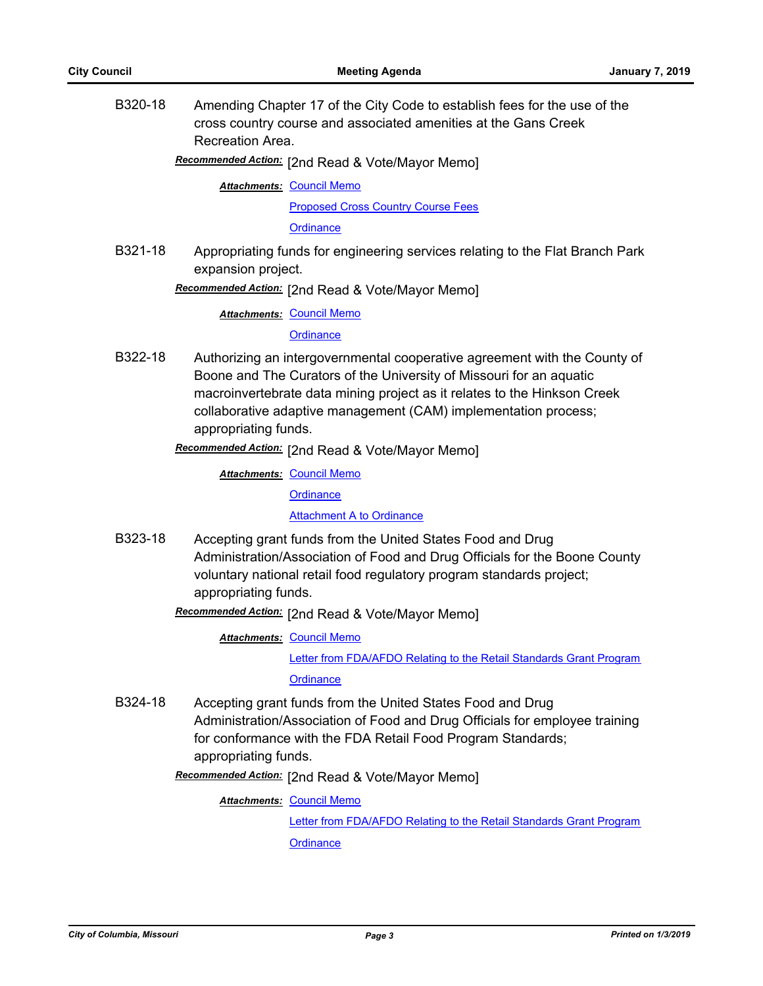B320-18 Amending Chapter 17 of the City Code to establish fees for the use of the cross country course and associated amenities at the Gans Creek Recreation Area.

Recommended Action: [2nd Read & Vote/Mayor Memo]

**Attachments: [Council Memo](http://gocolumbiamo.legistar.com/gateway.aspx?M=F&ID=942f667d-84f5-45c3-8bec-d5b46422fff2.docx)** 

[Proposed Cross Country Course Fees](http://gocolumbiamo.legistar.com/gateway.aspx?M=F&ID=4431b0f9-7f59-4c92-8108-a0b2e3fcb484.pdf)

**[Ordinance](http://gocolumbiamo.legistar.com/gateway.aspx?M=F&ID=8afec1ef-5e5f-4145-980c-92e4a6b58444.doc)** 

B321-18 Appropriating funds for engineering services relating to the Flat Branch Park expansion project.

**Recommended Action:** [2nd Read & Vote/Mayor Memo]

**Attachments: [Council Memo](http://gocolumbiamo.legistar.com/gateway.aspx?M=F&ID=d886fa74-e2bb-47ee-9b36-12c6e07b2d2a.docx)** 

**[Ordinance](http://gocolumbiamo.legistar.com/gateway.aspx?M=F&ID=2107515f-ebed-4799-a6c6-c7749a62a520.doc)** 

- B322-18 Authorizing an intergovernmental cooperative agreement with the County of Boone and The Curators of the University of Missouri for an aquatic macroinvertebrate data mining project as it relates to the Hinkson Creek collaborative adaptive management (CAM) implementation process; appropriating funds.
	- **Recommended Action:** [2nd Read & Vote/Mayor Memo]

**Attachments: [Council Memo](http://gocolumbiamo.legistar.com/gateway.aspx?M=F&ID=8453dc51-50fb-46b6-b604-dd239192dbcc.docx) [Ordinance](http://gocolumbiamo.legistar.com/gateway.aspx?M=F&ID=a471b22b-4b42-4142-ac5e-82023902ae68.doc)** 

[Attachment A to Ordinance](http://gocolumbiamo.legistar.com/gateway.aspx?M=F&ID=cd61d792-4c19-4874-b229-271764258166.pdf)

- B323-18 Accepting grant funds from the United States Food and Drug Administration/Association of Food and Drug Officials for the Boone County voluntary national retail food regulatory program standards project; appropriating funds.
	- Recommended Action: [2nd Read & Vote/Mayor Memo]

**Attachments: [Council Memo](http://gocolumbiamo.legistar.com/gateway.aspx?M=F&ID=b6a17d9a-3fd8-4a12-8250-80727648436a.docx)** [Letter from FDA/AFDO Relating to the Retail Standards Grant Program](http://gocolumbiamo.legistar.com/gateway.aspx?M=F&ID=ed8b57aa-46e2-4467-a4f5-a5024a9a1dd0.pdf) **[Ordinance](http://gocolumbiamo.legistar.com/gateway.aspx?M=F&ID=e5eed5ca-773a-4e7b-8a52-4a97590fda7f.doc)** 

B324-18 Accepting grant funds from the United States Food and Drug Administration/Association of Food and Drug Officials for employee training for conformance with the FDA Retail Food Program Standards; appropriating funds.

[2nd Read & Vote/Mayor Memo] *Recommended Action:*

**Attachments: [Council Memo](http://gocolumbiamo.legistar.com/gateway.aspx?M=F&ID=b34edcb9-8640-4d42-b0e9-a77912fb3eb0.docx)** [Letter from FDA/AFDO Relating to the Retail Standards Grant Program](http://gocolumbiamo.legistar.com/gateway.aspx?M=F&ID=1e7c16d4-a682-4fa1-8cc0-244e5eaa4972.pdf) **[Ordinance](http://gocolumbiamo.legistar.com/gateway.aspx?M=F&ID=190af84d-6c47-4ea6-925f-b5711764ef0e.doc)**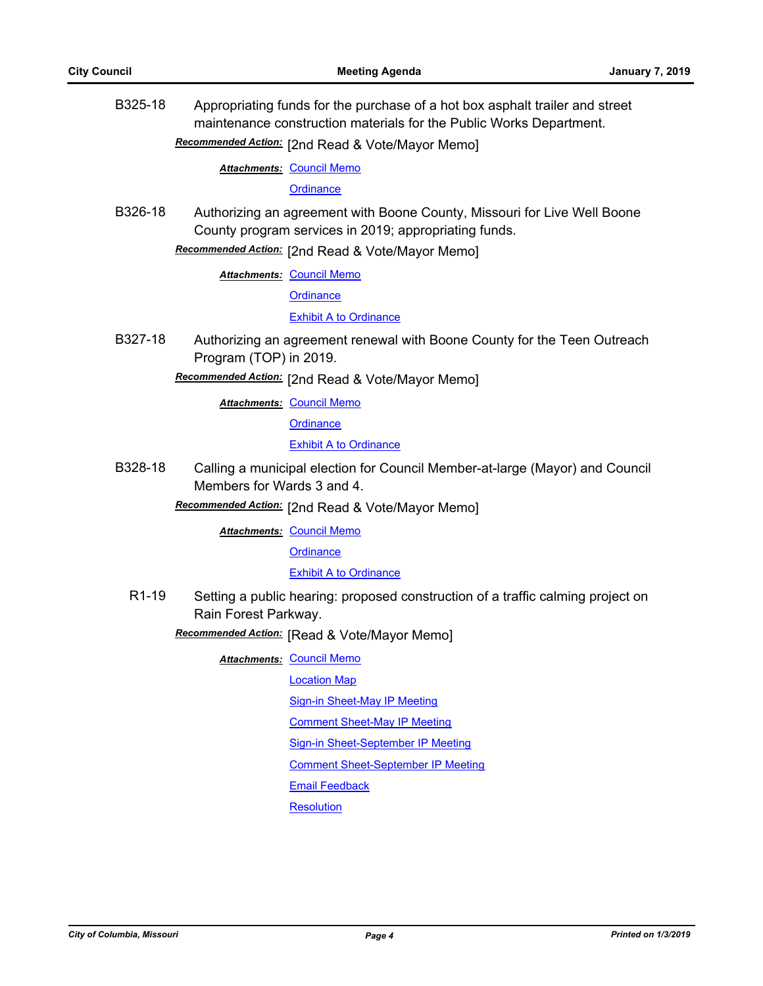B325-18 Appropriating funds for the purchase of a hot box asphalt trailer and street maintenance construction materials for the Public Works Department.

**Recommended Action:** [2nd Read & Vote/Mayor Memo]

**Attachments: [Council Memo](http://gocolumbiamo.legistar.com/gateway.aspx?M=F&ID=01526272-7faf-4df9-aaf4-d3674a20bb33.docx)** 

**[Ordinance](http://gocolumbiamo.legistar.com/gateway.aspx?M=F&ID=0fb09989-09f0-4565-b7e2-ebc49f30fa9f.doc)** 

B326-18 Authorizing an agreement with Boone County, Missouri for Live Well Boone County program services in 2019; appropriating funds.

**Recommended Action:** [2nd Read & Vote/Mayor Memo]

**Attachments: [Council Memo](http://gocolumbiamo.legistar.com/gateway.aspx?M=F&ID=e112339e-e61a-4919-97f1-33e2439a2f75.docx)** 

**[Ordinance](http://gocolumbiamo.legistar.com/gateway.aspx?M=F&ID=9518bdc7-84c8-40a9-a1de-754673ca5991.doc)** 

[Exhibit A to Ordinance](http://gocolumbiamo.legistar.com/gateway.aspx?M=F&ID=d2b915ed-6220-4c0f-b60c-55a98e31f4ab.pdf)

B327-18 Authorizing an agreement renewal with Boone County for the Teen Outreach Program (TOP) in 2019.

[2nd Read & Vote/Mayor Memo] *Recommended Action:*

**Attachments: [Council Memo](http://gocolumbiamo.legistar.com/gateway.aspx?M=F&ID=6359527d-e0cb-4b3f-ad79-2734efa4c5c6.docx)** 

**[Ordinance](http://gocolumbiamo.legistar.com/gateway.aspx?M=F&ID=d11f90b3-367a-4926-9b81-eccbe3527a5f.doc)** 

**[Exhibit A to Ordinance](http://gocolumbiamo.legistar.com/gateway.aspx?M=F&ID=cafbc96d-88d9-4484-865a-2ae629c5681b.pdf)** 

B328-18 Calling a municipal election for Council Member-at-large (Mayor) and Council Members for Wards 3 and 4.

Recommended Action: [2nd Read & Vote/Mayor Memo]

**Attachments: [Council Memo](http://gocolumbiamo.legistar.com/gateway.aspx?M=F&ID=ac976486-b8d0-4190-b742-e1b91c686e91.docx)** 

**[Ordinance](http://gocolumbiamo.legistar.com/gateway.aspx?M=F&ID=b450ad66-7e68-41fb-ae11-17b9bb50c49a.doc)** 

#### [Exhibit A to Ordinance](http://gocolumbiamo.legistar.com/gateway.aspx?M=F&ID=50fe5421-bcd3-4acd-ac3c-57a9e4913bc6.doc)

R1-19 Setting a public hearing: proposed construction of a traffic calming project on Rain Forest Parkway.

**Recommended Action:** [Read & Vote/Mayor Memo]

**Attachments: [Council Memo](http://gocolumbiamo.legistar.com/gateway.aspx?M=F&ID=07f4a83a-c498-4eda-a307-ce79b597a4cb.docx)** 

[Location Map](http://gocolumbiamo.legistar.com/gateway.aspx?M=F&ID=1cdb11c0-eb09-4117-9464-7166dad7f88a.pdf)

[Sign-in Sheet-May IP Meeting](http://gocolumbiamo.legistar.com/gateway.aspx?M=F&ID=10821a15-b7d9-4fc3-8cdd-a136cce1cfee.pdf)

[Comment Sheet-May IP Meeting](http://gocolumbiamo.legistar.com/gateway.aspx?M=F&ID=5114fb5b-6281-43d8-bf4a-99a2002100a2.pdf)

[Sign-in Sheet-September IP Meeting](http://gocolumbiamo.legistar.com/gateway.aspx?M=F&ID=a1602a4e-c7ad-40d8-8990-87f0c25c4264.pdf)

[Comment Sheet-September IP Meeting](http://gocolumbiamo.legistar.com/gateway.aspx?M=F&ID=165500c5-2b6d-4842-af43-ebbc2af2234c.pdf)

[Email Feedback](http://gocolumbiamo.legistar.com/gateway.aspx?M=F&ID=f373ed1d-a66f-470f-984c-f74166e91154.pdf)

**[Resolution](http://gocolumbiamo.legistar.com/gateway.aspx?M=F&ID=ab9ea853-d5c4-4604-b897-2c58d3105e38.doc)**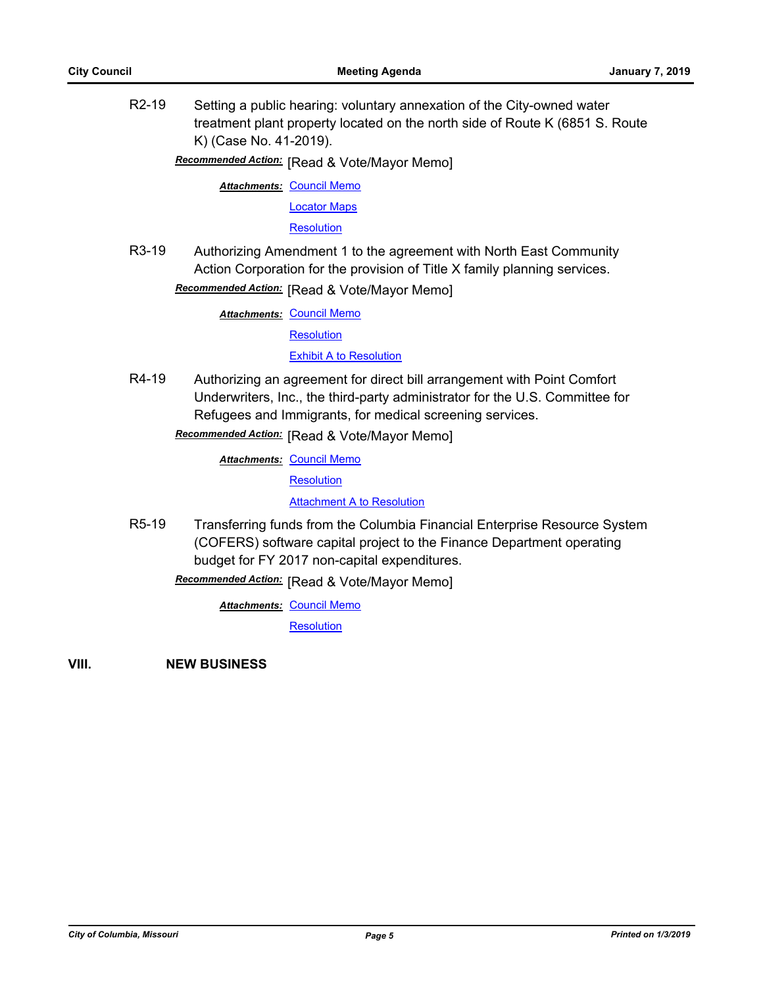R2-19 Setting a public hearing: voluntary annexation of the City-owned water treatment plant property located on the north side of Route K (6851 S. Route K) (Case No. 41-2019).

**Recommended Action:** [Read & Vote/Mayor Memo]

**Attachments: [Council Memo](http://gocolumbiamo.legistar.com/gateway.aspx?M=F&ID=c5115b20-c466-4d37-aea7-10e457b7e2c4.docx)** [Locator Maps](http://gocolumbiamo.legistar.com/gateway.aspx?M=F&ID=d40039d1-adc6-4396-ad2e-2d3e2cafc088.pdf) **[Resolution](http://gocolumbiamo.legistar.com/gateway.aspx?M=F&ID=deca43db-2de0-4952-8ae3-3b4a8715783a.doc)** 

R3-19 Authorizing Amendment 1 to the agreement with North East Community Action Corporation for the provision of Title X family planning services.

**Recommended Action:** [Read & Vote/Mayor Memo]

**Attachments: [Council Memo](http://gocolumbiamo.legistar.com/gateway.aspx?M=F&ID=786ef14c-f216-4a0e-9937-a6005daffed3.docx)** 

**[Resolution](http://gocolumbiamo.legistar.com/gateway.aspx?M=F&ID=0ab8ea3e-06fa-4471-8dee-0eecaf7b5bd5.doc)** 

#### **[Exhibit A to Resolution](http://gocolumbiamo.legistar.com/gateway.aspx?M=F&ID=9aef43e1-3f87-4dbc-9790-dadabf292f4d.pdf)**

R4-19 Authorizing an agreement for direct bill arrangement with Point Comfort Underwriters, Inc., the third-party administrator for the U.S. Committee for Refugees and Immigrants, for medical screening services.

**Recommended Action:** [Read & Vote/Mayor Memo]

**Attachments: [Council Memo](http://gocolumbiamo.legistar.com/gateway.aspx?M=F&ID=3dd153d9-a2b1-40df-b675-6ba04c01e6b8.docx)** 

**[Resolution](http://gocolumbiamo.legistar.com/gateway.aspx?M=F&ID=bee36521-dc86-46b0-aa1a-56663ef8e6bb.doc)** 

**[Attachment A to Resolution](http://gocolumbiamo.legistar.com/gateway.aspx?M=F&ID=80228998-ab92-4dee-9d23-98cc501e1f5b.pdf)** 

R5-19 Transferring funds from the Columbia Financial Enterprise Resource System (COFERS) software capital project to the Finance Department operating budget for FY 2017 non-capital expenditures.

**Recommended Action:** [Read & Vote/Mayor Memo]

**Attachments: [Council Memo](http://gocolumbiamo.legistar.com/gateway.aspx?M=F&ID=449759fb-d9a2-4936-99c6-b9e5d4b77d6a.docx)** 

**[Resolution](http://gocolumbiamo.legistar.com/gateway.aspx?M=F&ID=27f51aba-2498-4f5f-84c8-145b3cc5bc36.doc)** 

**VIII. NEW BUSINESS**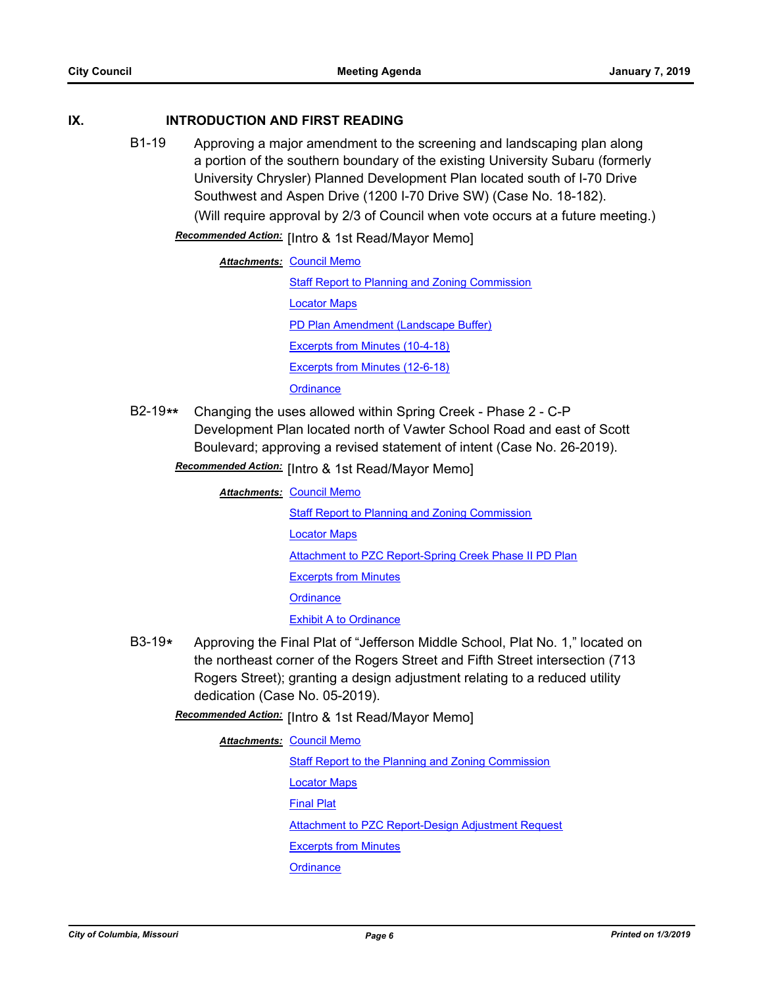#### **IX. INTRODUCTION AND FIRST READING**

B1-19 Approving a major amendment to the screening and landscaping plan along a portion of the southern boundary of the existing University Subaru (formerly University Chrysler) Planned Development Plan located south of I-70 Drive Southwest and Aspen Drive (1200 I-70 Drive SW) (Case No. 18-182). (Will require approval by 2/3 of Council when vote occurs at a future meeting.)

Recommended Action: [Intro & 1st Read/Mayor Memo]

|                                      | <b>Attachments: Council Memo</b>                      |  |
|--------------------------------------|-------------------------------------------------------|--|
|                                      | <b>Staff Report to Planning and Zoning Commission</b> |  |
|                                      | <b>Locator Maps</b>                                   |  |
| PD Plan Amendment (Landscape Buffer) |                                                       |  |
|                                      | Excerpts from Minutes (10-4-18)                       |  |
|                                      | Excerpts from Minutes (12-6-18)                       |  |
|                                      | Ordinance                                             |  |

B2-19**\*\*** Changing the uses allowed within Spring Creek - Phase 2 - C-P Development Plan located north of Vawter School Road and east of Scott Boulevard; approving a revised statement of intent (Case No. 26-2019).

Recommended Action: [Intro & 1st Read/Mayor Memo]

**Attachments: [Council Memo](http://gocolumbiamo.legistar.com/gateway.aspx?M=F&ID=6e516484-145a-4474-ace0-940b786af850.docx)** 

**[Staff Report to Planning and Zoning Commission](http://gocolumbiamo.legistar.com/gateway.aspx?M=F&ID=ae282dbc-b360-4f5a-8681-c87acb850eb5.docx)** [Locator Maps](http://gocolumbiamo.legistar.com/gateway.aspx?M=F&ID=76360d8f-b671-4e10-ae30-e1f4bccbd0e9.pdf) [Attachment to PZC Report-Spring Creek Phase II PD Plan](http://gocolumbiamo.legistar.com/gateway.aspx?M=F&ID=f0d87d0a-12d4-4505-805d-da0e38b0b312.pdf) [Excerpts from Minutes](http://gocolumbiamo.legistar.com/gateway.aspx?M=F&ID=7d320e2d-ae99-4e2c-9ed3-9e2574b420af.docx) **[Ordinance](http://gocolumbiamo.legistar.com/gateway.aspx?M=F&ID=4e29cf3d-b0aa-4a2c-a1f2-de8e650a5ae9.doc)** [Exhibit A to Ordinance](http://gocolumbiamo.legistar.com/gateway.aspx?M=F&ID=7fee9ce5-0fba-4109-85a4-2eb5447f7e2c.pdf)

- B3-19**\*** Approving the Final Plat of "Jefferson Middle School, Plat No. 1," located on the northeast corner of the Rogers Street and Fifth Street intersection (713 Rogers Street); granting a design adjustment relating to a reduced utility dedication (Case No. 05-2019).
	- Recommended Action: [Intro & 1st Read/Mayor Memo]

**Attachments: [Council Memo](http://gocolumbiamo.legistar.com/gateway.aspx?M=F&ID=79d1af86-d5ed-4325-9800-ec72157bd8a6.docx)** [Staff Report to the Planning and Zoning Commission](http://gocolumbiamo.legistar.com/gateway.aspx?M=F&ID=354c2357-b1dd-40d0-ab3d-1c321607ea8f.docx) [Locator Maps](http://gocolumbiamo.legistar.com/gateway.aspx?M=F&ID=ad918df6-2500-4cdd-9025-45dd09c99c6f.pdf) [Final Plat](http://gocolumbiamo.legistar.com/gateway.aspx?M=F&ID=40812f4f-2fe3-4643-9e8b-c94ef9d29016.pdf) [Attachment to PZC Report-Design Adjustment Request](http://gocolumbiamo.legistar.com/gateway.aspx?M=F&ID=f6fbdc18-198d-4a25-8d19-484353064aca.pdf) [Excerpts from Minutes](http://gocolumbiamo.legistar.com/gateway.aspx?M=F&ID=c1221601-b06b-42ee-8de2-c5df22572b1c.docx) **[Ordinance](http://gocolumbiamo.legistar.com/gateway.aspx?M=F&ID=2444ec49-3cb3-4893-b6e9-be44eb06f3f3.doc)**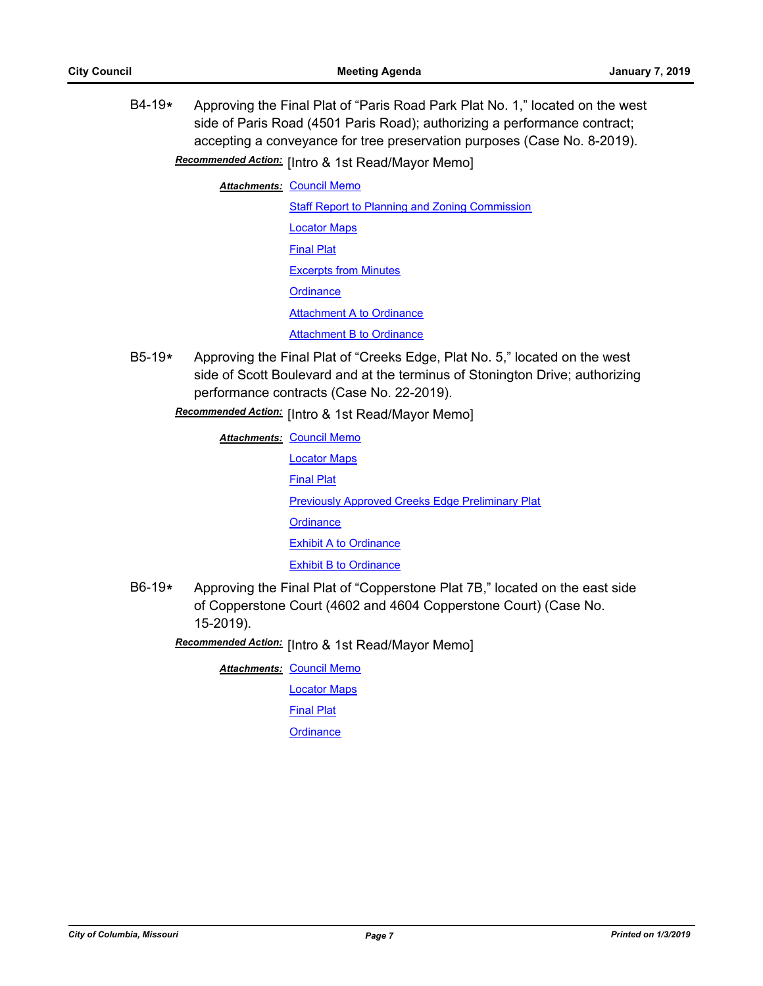B4-19**\*** Approving the Final Plat of "Paris Road Park Plat No. 1," located on the west side of Paris Road (4501 Paris Road); authorizing a performance contract; accepting a conveyance for tree preservation purposes (Case No. 8-2019).

**Recommended Action:** [Intro & 1st Read/Mayor Memo]

**Attachments: [Council Memo](http://gocolumbiamo.legistar.com/gateway.aspx?M=F&ID=772c8a58-67cd-49d5-9b75-56ce4c8d50c9.docx)** 

[Staff Report to Planning and Zoning Commission](http://gocolumbiamo.legistar.com/gateway.aspx?M=F&ID=5c5cc24d-ef4d-4847-a91e-3a773fb19e48.docx) [Locator Maps](http://gocolumbiamo.legistar.com/gateway.aspx?M=F&ID=4e43e19a-6c7f-4093-9ff0-17e1c51921f9.pdf) [Final Plat](http://gocolumbiamo.legistar.com/gateway.aspx?M=F&ID=cb2adc1f-b95b-4924-8d4f-ee395c52bb18.pdf) [Excerpts from Minutes](http://gocolumbiamo.legistar.com/gateway.aspx?M=F&ID=3ad7d457-f52d-40e3-9120-9c6a66feff40.docx) **[Ordinance](http://gocolumbiamo.legistar.com/gateway.aspx?M=F&ID=e271bd26-c830-41eb-8131-d91504929680.doc)** [Attachment A to Ordinance](http://gocolumbiamo.legistar.com/gateway.aspx?M=F&ID=5b9ce0ca-22ab-40c5-be84-be91854cdaa0.pdf) **[Attachment B to Ordinance](http://gocolumbiamo.legistar.com/gateway.aspx?M=F&ID=6e583260-f79b-4d6b-813d-ae2fe6e73725.pdf)** 

B5-19**\*** Approving the Final Plat of "Creeks Edge, Plat No. 5," located on the west side of Scott Boulevard and at the terminus of Stonington Drive; authorizing performance contracts (Case No. 22-2019).

**Recommended Action:** [Intro & 1st Read/Mayor Memo]

**Attachments: [Council Memo](http://gocolumbiamo.legistar.com/gateway.aspx?M=F&ID=5bd9870c-c77e-440c-b3a1-0662d92041ed.docx)** [Locator Maps](http://gocolumbiamo.legistar.com/gateway.aspx?M=F&ID=25787703-f49f-4d29-8a09-1e2bdf7eca85.pdf) [Final Plat](http://gocolumbiamo.legistar.com/gateway.aspx?M=F&ID=7468acec-e817-46c1-bac8-575a2e74edce.pdf) **[Previously Approved Creeks Edge Preliminary Plat](http://gocolumbiamo.legistar.com/gateway.aspx?M=F&ID=50ada26d-525c-466e-b6fe-9cb7fdbcf2bc.pdf) [Ordinance](http://gocolumbiamo.legistar.com/gateway.aspx?M=F&ID=9a6471e4-265b-4bc3-9ef4-f95e09cf0f4e.doc)** [Exhibit A to Ordinance](http://gocolumbiamo.legistar.com/gateway.aspx?M=F&ID=b015f69d-7eee-43ef-9ac2-484fa95ed12b.pdf) [Exhibit B to Ordinance](http://gocolumbiamo.legistar.com/gateway.aspx?M=F&ID=982724ec-dff9-4575-b96a-535615be0905.pdf)

B6-19**\*** Approving the Final Plat of "Copperstone Plat 7B," located on the east side of Copperstone Court (4602 and 4604 Copperstone Court) (Case No. 15-2019).

[Intro & 1st Read/Mayor Memo] *Recommended Action:*

**Attachments: [Council Memo](http://gocolumbiamo.legistar.com/gateway.aspx?M=F&ID=a7588e64-22b2-40b7-ac6b-1ffde5d6443e.docx)** 

[Locator Maps](http://gocolumbiamo.legistar.com/gateway.aspx?M=F&ID=cc1759a3-075e-4e49-bece-9792b98bd659.pdf)

[Final Plat](http://gocolumbiamo.legistar.com/gateway.aspx?M=F&ID=3588d54b-e646-496e-ad2b-cf49c1025ffb.pdf)

**[Ordinance](http://gocolumbiamo.legistar.com/gateway.aspx?M=F&ID=f6bf1a69-0712-4ffa-a7e2-7cd0021f9e20.doc)**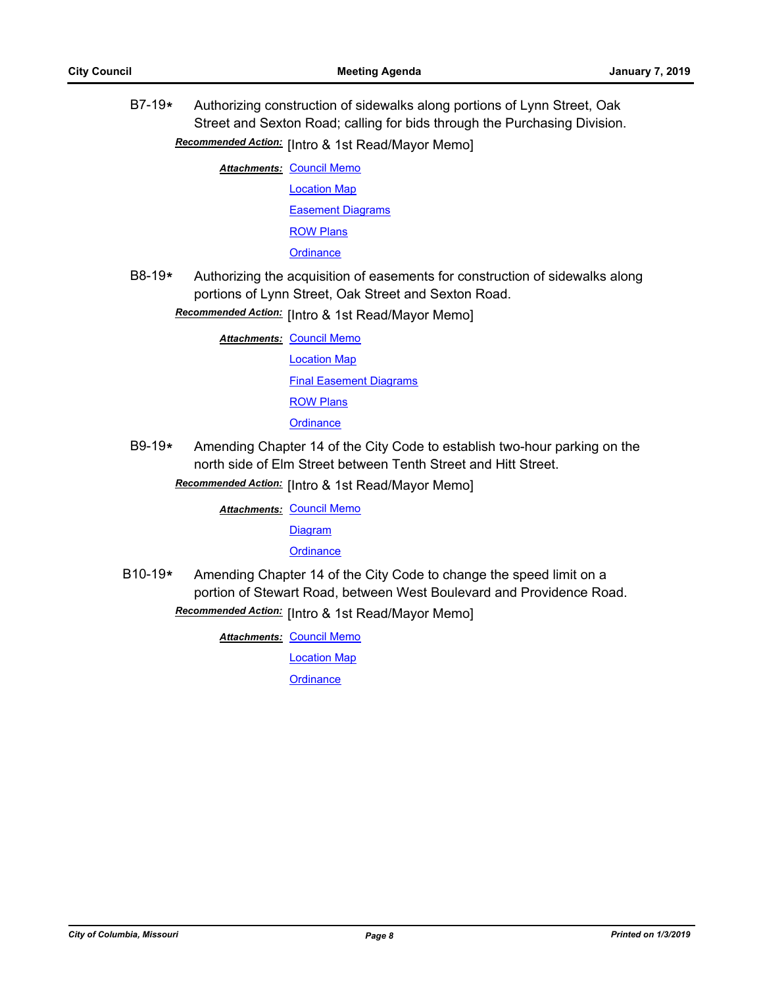B7-19**\*** Authorizing construction of sidewalks along portions of Lynn Street, Oak Street and Sexton Road; calling for bids through the Purchasing Division.

[Intro & 1st Read/Mayor Memo] *Recommended Action:*

**Attachments: [Council Memo](http://gocolumbiamo.legistar.com/gateway.aspx?M=F&ID=b15439d4-4f5b-4686-aa56-16a5b1bf2e3a.docx)** 

[Location Map](http://gocolumbiamo.legistar.com/gateway.aspx?M=F&ID=17b691f6-ca13-46e7-b482-26aa2980f24f.pdf)

[Easement Diagrams](http://gocolumbiamo.legistar.com/gateway.aspx?M=F&ID=9458872c-f6de-47c6-9109-18a9f8a30fad.pdf)

[ROW Plans](http://gocolumbiamo.legistar.com/gateway.aspx?M=F&ID=b57a70c9-5a84-41f7-91b8-15f9f81fd55e.pdf)

**[Ordinance](http://gocolumbiamo.legistar.com/gateway.aspx?M=F&ID=cec21da9-fa2e-448d-9291-710e9d0fd73a.doc)** 

B8-19**\*** Authorizing the acquisition of easements for construction of sidewalks along portions of Lynn Street, Oak Street and Sexton Road.

**Recommended Action:** [Intro & 1st Read/Mayor Memo]

**Attachments: [Council Memo](http://gocolumbiamo.legistar.com/gateway.aspx?M=F&ID=64f68a76-4877-412b-980b-18d1917a9f30.docx)** [Location Map](http://gocolumbiamo.legistar.com/gateway.aspx?M=F&ID=3ee0375a-9597-4f1c-8e76-3d5085c9d3f3.pdf) [Final Easement Diagrams](http://gocolumbiamo.legistar.com/gateway.aspx?M=F&ID=19a6303c-f747-4554-8119-124c9e6e8a55.pdf)

[ROW Plans](http://gocolumbiamo.legistar.com/gateway.aspx?M=F&ID=4d0469c6-a893-4f6b-82b0-e26302847f45.pdf)

**[Ordinance](http://gocolumbiamo.legistar.com/gateway.aspx?M=F&ID=6716b64d-9fa3-4aba-934c-67f32696bfd8.doc)** 

B9-19**\*** Amending Chapter 14 of the City Code to establish two-hour parking on the north side of Elm Street between Tenth Street and Hitt Street.

**Recommended Action:** [Intro & 1st Read/Mayor Memo]

**Attachments: [Council Memo](http://gocolumbiamo.legistar.com/gateway.aspx?M=F&ID=b2f607cf-d787-46df-9c76-3e476d1c093e.docx)** 

[Diagram](http://gocolumbiamo.legistar.com/gateway.aspx?M=F&ID=de18a891-f03b-4ffe-8c3e-3b5868e05896.pdf)

**[Ordinance](http://gocolumbiamo.legistar.com/gateway.aspx?M=F&ID=08dcb379-ecd2-4595-b697-11d5fd22a42d.doc)** 

B10-19**\*** Amending Chapter 14 of the City Code to change the speed limit on a portion of Stewart Road, between West Boulevard and Providence Road.

Recommended Action: [Intro & 1st Read/Mayor Memo]

**Attachments: [Council Memo](http://gocolumbiamo.legistar.com/gateway.aspx?M=F&ID=869e13b9-b1c8-4f81-a4f5-18a8387eee8d.docx)** [Location Map](http://gocolumbiamo.legistar.com/gateway.aspx?M=F&ID=3058e915-a98c-4302-9b28-25e7875969e4.pdf)

**[Ordinance](http://gocolumbiamo.legistar.com/gateway.aspx?M=F&ID=35f3d71d-2fbf-42dd-a81c-a8c8420270c6.doc)**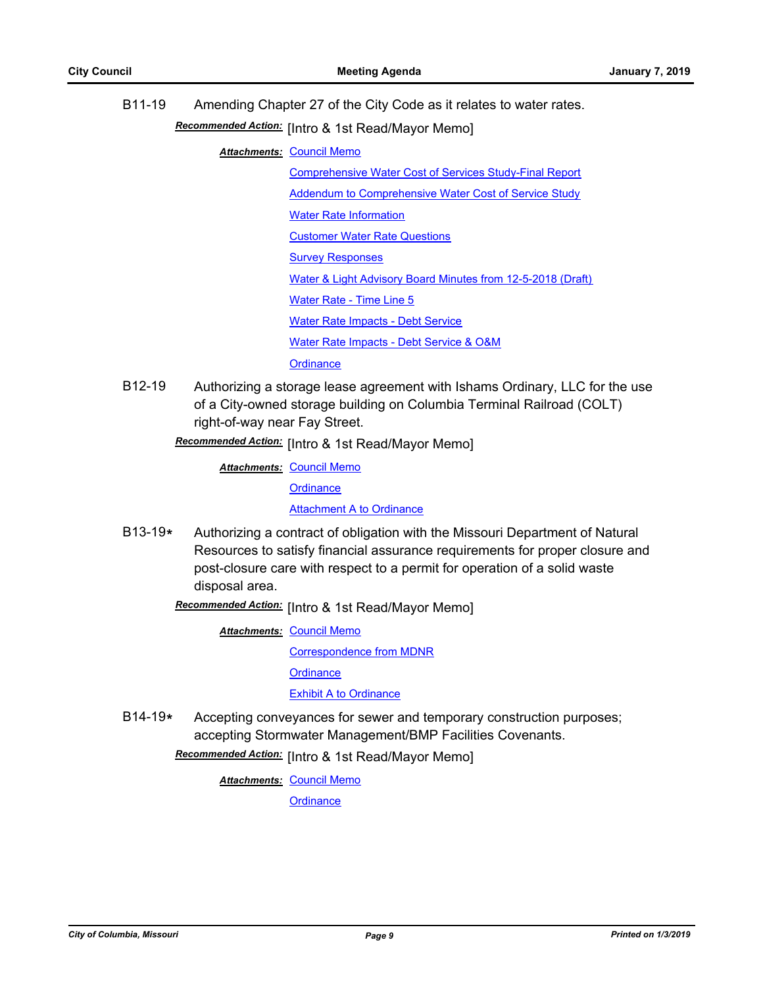B11-19 Amending Chapter 27 of the City Code as it relates to water rates. Recommended Action: [Intro & 1st Read/Mayor Memo]

**Attachments: [Council Memo](http://gocolumbiamo.legistar.com/gateway.aspx?M=F&ID=908ee5f2-b446-4674-b4f1-24945392a5d0.docx)** 

[Comprehensive Water Cost of Services Study-Final Report](http://gocolumbiamo.legistar.com/gateway.aspx?M=F&ID=68c899a3-d371-43a9-a00e-790aedfd78bf.pdf)

[Addendum to Comprehensive Water Cost of Service Study](http://gocolumbiamo.legistar.com/gateway.aspx?M=F&ID=b2a0b2f6-0284-4929-a853-1ef95e4fa261.pdf)

[Water Rate Information](http://gocolumbiamo.legistar.com/gateway.aspx?M=F&ID=f3cc5aad-3e39-4360-86fc-0788a729f6c5.pdf)

[Customer Water Rate Questions](http://gocolumbiamo.legistar.com/gateway.aspx?M=F&ID=a1ad627f-3e40-4492-8c78-4deecb2f1db4.pdf)

[Survey Responses](http://gocolumbiamo.legistar.com/gateway.aspx?M=F&ID=b857d1e0-0403-459d-ab40-7031fbfa71fd.pdf)

[Water & Light Advisory Board Minutes from 12-5-2018 \(Draft\)](http://gocolumbiamo.legistar.com/gateway.aspx?M=F&ID=07896d7c-3fbf-4636-885a-99111a5c1dbb.pdf)

[Water Rate - Time Line 5](http://gocolumbiamo.legistar.com/gateway.aspx?M=F&ID=c3df4bba-c302-4a88-9ea9-12d65adc55a2.pdf)

[Water Rate Impacts - Debt Service](http://gocolumbiamo.legistar.com/gateway.aspx?M=F&ID=e41cd3ea-4615-4770-ba7e-56ce7bb956cf.pdf)

[Water Rate Impacts - Debt Service & O&M](http://gocolumbiamo.legistar.com/gateway.aspx?M=F&ID=f1c4e2a3-96c1-4846-92e5-0600eebbf283.pdf)

**[Ordinance](http://gocolumbiamo.legistar.com/gateway.aspx?M=F&ID=8f2768ac-9746-4af0-a413-f9b390ece0a6.doc)** 

B12-19 Authorizing a storage lease agreement with Ishams Ordinary, LLC for the use of a City-owned storage building on Columbia Terminal Railroad (COLT) right-of-way near Fay Street.

Recommended Action: [Intro & 1st Read/Mayor Memo]

**Attachments: [Council Memo](http://gocolumbiamo.legistar.com/gateway.aspx?M=F&ID=c2c50d1d-133b-450a-a33b-0ab6c770dbb0.docx)** 

**[Ordinance](http://gocolumbiamo.legistar.com/gateway.aspx?M=F&ID=f44f038c-d304-4748-b20e-bf887d88ba34.doc)** 

[Attachment A to Ordinance](http://gocolumbiamo.legistar.com/gateway.aspx?M=F&ID=9f015ae0-198a-4322-8b2e-99e5e027a7c0.pdf)

B13-19**\*** Authorizing a contract of obligation with the Missouri Department of Natural Resources to satisfy financial assurance requirements for proper closure and post-closure care with respect to a permit for operation of a solid waste disposal area.

Recommended Action: [Intro & 1st Read/Mayor Memo]

**Attachments: [Council Memo](http://gocolumbiamo.legistar.com/gateway.aspx?M=F&ID=77f6f6c1-6b0d-4b05-a2cf-a0cbc85a4672.docx)** 

[Correspondence from MDNR](http://gocolumbiamo.legistar.com/gateway.aspx?M=F&ID=4ad072f4-ff1b-4493-9191-fd77898e650b.pdf)

**[Ordinance](http://gocolumbiamo.legistar.com/gateway.aspx?M=F&ID=29ed1d65-46e0-4f71-8acf-9f418d133acc.doc)** 

[Exhibit A to Ordinance](http://gocolumbiamo.legistar.com/gateway.aspx?M=F&ID=3e51c406-1132-404f-be34-acd048608027.doc)

B14-19**\*** Accepting conveyances for sewer and temporary construction purposes; accepting Stormwater Management/BMP Facilities Covenants.

**Recommended Action:** [Intro & 1st Read/Mayor Memo]

**Attachments: [Council Memo](http://gocolumbiamo.legistar.com/gateway.aspx?M=F&ID=dfefd781-884d-4d01-bb99-b3edded4b03d.docx)** 

**[Ordinance](http://gocolumbiamo.legistar.com/gateway.aspx?M=F&ID=824f0689-bd6c-4eba-8b6b-7cbfe66382b4.doc)**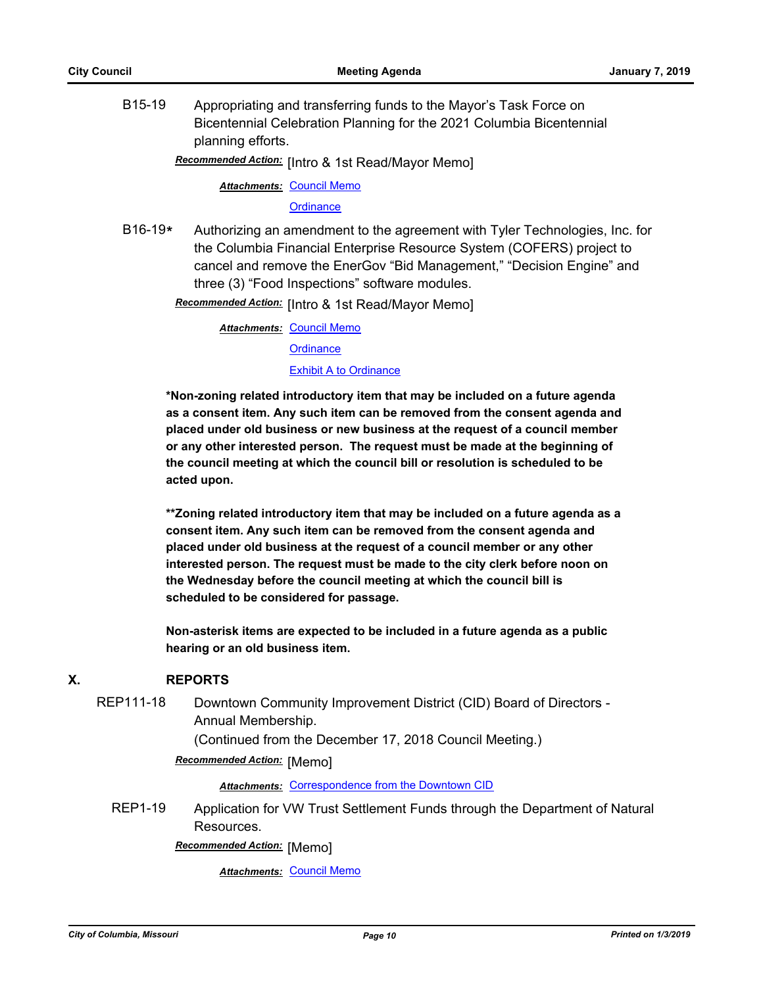B15-19 Appropriating and transferring funds to the Mayor's Task Force on Bicentennial Celebration Planning for the 2021 Columbia Bicentennial planning efforts.

Recommended Action: [Intro & 1st Read/Mayor Memo]

**Attachments: [Council Memo](http://gocolumbiamo.legistar.com/gateway.aspx?M=F&ID=6ea8e0fc-5293-4fab-9997-586d53731ded.docx)** 

**[Ordinance](http://gocolumbiamo.legistar.com/gateway.aspx?M=F&ID=186b7b56-9852-44ee-a10e-3fc6671a3a9f.doc)** 

B16-19**\*** Authorizing an amendment to the agreement with Tyler Technologies, Inc. for the Columbia Financial Enterprise Resource System (COFERS) project to cancel and remove the EnerGov "Bid Management," "Decision Engine" and three (3) "Food Inspections" software modules.

**Recommended Action:** [Intro & 1st Read/Mayor Memo]

**Attachments: [Council Memo](http://gocolumbiamo.legistar.com/gateway.aspx?M=F&ID=6451e807-8969-4e2f-8da5-d938f08aa74c.docx) [Ordinance](http://gocolumbiamo.legistar.com/gateway.aspx?M=F&ID=03b1f667-7c46-49ab-be48-59de0dcfe791.doc)** 

## **[Exhibit A to Ordinance](http://gocolumbiamo.legistar.com/gateway.aspx?M=F&ID=5fd019c7-dc97-4803-a800-fedf3db3b265.pdf)**

**\*Non-zoning related introductory item that may be included on a future agenda as a consent item. Any such item can be removed from the consent agenda and placed under old business or new business at the request of a council member or any other interested person. The request must be made at the beginning of the council meeting at which the council bill or resolution is scheduled to be acted upon.** 

**\*\*Zoning related introductory item that may be included on a future agenda as a consent item. Any such item can be removed from the consent agenda and placed under old business at the request of a council member or any other interested person. The request must be made to the city clerk before noon on the Wednesday before the council meeting at which the council bill is scheduled to be considered for passage.**

**Non-asterisk items are expected to be included in a future agenda as a public hearing or an old business item.**

#### **X. REPORTS**

REP111-18 Downtown Community Improvement District (CID) Board of Directors -Annual Membership.

(Continued from the December 17, 2018 Council Meeting.)

**Recommended Action: [Memo]** 

**Attachments: [Correspondence from the Downtown CID](http://gocolumbiamo.legistar.com/gateway.aspx?M=F&ID=12992385-b787-46ac-8991-a2385623a39a.pdf)** 

REP1-19 Application for VW Trust Settlement Funds through the Department of Natural Resources.

**Recommended Action:** [Memo]

*Attachments:* [Council Memo](http://gocolumbiamo.legistar.com/gateway.aspx?M=F&ID=dff33396-2f2a-436e-a1d7-c4aa181f64c2.docx)